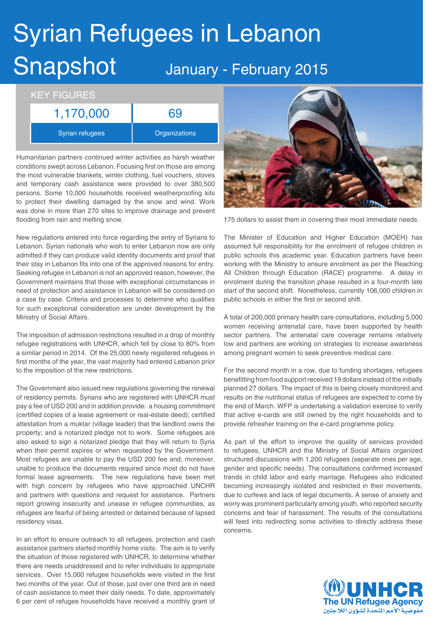## Syrian Refugees in Lebanon Snapshot January - February 2015

## KEY FIGURES 1,170,000 69

Syrian refugees **Constants** Organizations

Humanitarian partners continued winter activities as harsh weather conditions swept across Lebanon. Focusing first on those are among the most vulnerable blankets, winter clothing, fuel vouchers, stoves and temporary cash assistance were provided to over 380,500 persons. Some 10,000 households received weatherproofing kits to protect their dwelling damaged by the snow and wind. Work was done in more than 270 sites to improve drainage and prevent flooding from rain and melting snow.

New regulations entered into force regarding the entry of Syrians to Lebanon. Syrian nationals who wish to enter Lebanon now are only admitted if they can produce valid identity documents and proof that their stay in Lebanon fits into one of the approved reasons for entry. Seeking refugee in Lebanon is not an approved reason, however, the Government maintains that those with exceptional circumstances in need of protection and assistance in Lebanon will be considered on a case by case. Criteria and processes to determine who qualifies for such exceptional consideration are under development by the Ministry of Social Affairs.

The imposition of admission restrictions resulted in a drop of monthly refugee registrations with UNHCR, which fell by close to 80% from a similar period in 2014. Of the 25,000 newly registered refugees in first months of the year, the vast majority had entered Lebanon prior to the imposition of the new restrictions.

The Government also issued new regulations governing the renewal of residency permits. Syrians who are registered with UNHCR must pay a fee of USD 200 and in addition provide: a housing commitment (certified copies of a lease agreement or real-estate deed); certified attestation from a muktar (village leader) that the landlord owns the property; and a notarized pledge not to work. Some refugees are also asked to sign a notarized pledge that they will return to Syria when their permit expires or when requested by the Government. Most refugees are unable to pay the USD 200 fee and, moreover, unable to produce the documents required since most do not have formal lease agreements. The new regulations have been met with high concern by refugees who have approached UNCHR and partners with questions and request for assistance. Partners report growing insecurity and unease in refugee communities, as refugees are fearful of being arrested or detained because of lapsed residency visas.

In an effort to ensure outreach to all refugees, protection and cash assistance partners started monthly home visits. The aim is to verify the situation of those registered with UNHCR, to determine whether there are needs unaddressed and to refer individuals to appropriate services. Over 15,000 refugee households were visited in the first two months of the year. Out of those, just over one third are in need of cash assistance to meet their daily needs. To date, approximately 6 per cent of refugee households have received a monthly grant of



175 dollars to assist them in covering their most immediate needs.

v are only assumed full responsibility for the enrolment of refugee children in The Minister of Education and Higher Education (MOEH) has public schools this academic year. Education partners have been working with the Ministry to ensure enrolment as per the Reaching All Children through Education (RACE) programme. A delay in enrolment during the transition phase resulted in a four-month late start of the second shift. Nonetheless, currently 106,000 children in public schools in either the first or second shift.

> A total of 200,000 primary health care consultations, including 5,000 women receiving antenatal care, have been supported by health sector partners. The antenatal care coverage remains relatively low and partners are working on strategies to increase awareness among pregnant women to seek preventive medical care.

> For the second month in a row, due to funding shortages, refugees benefitting from food support received 19 dollars instead of the initially planned 27 dollars. The impact of this is being closely monitored and results on the nutritional status of refugees are expected to come by the end of March. WFP is undertaking a validation exercise to verify that active e-cards are still owned by the right households and to provide refresher training on the e-card programme policy.

> As part of the effort to improve the quality of services provided to refugees, UNHCR and the Ministry of Social Affairs organized structured discussions with 1,200 refugees (separate ones per age, gender and specific needs). The consultations confirmed increased trends in child labor and early marriage. Refugees also indicated becoming increasingly isolated and restricted in their movements, due to curfews and lack of legal documents. A sense of anxiety and worry was prominent particularly among youth, who reported security concerns and fear of harassment. The results of the consultations will feed into redirecting some activities to directly address these concerns.